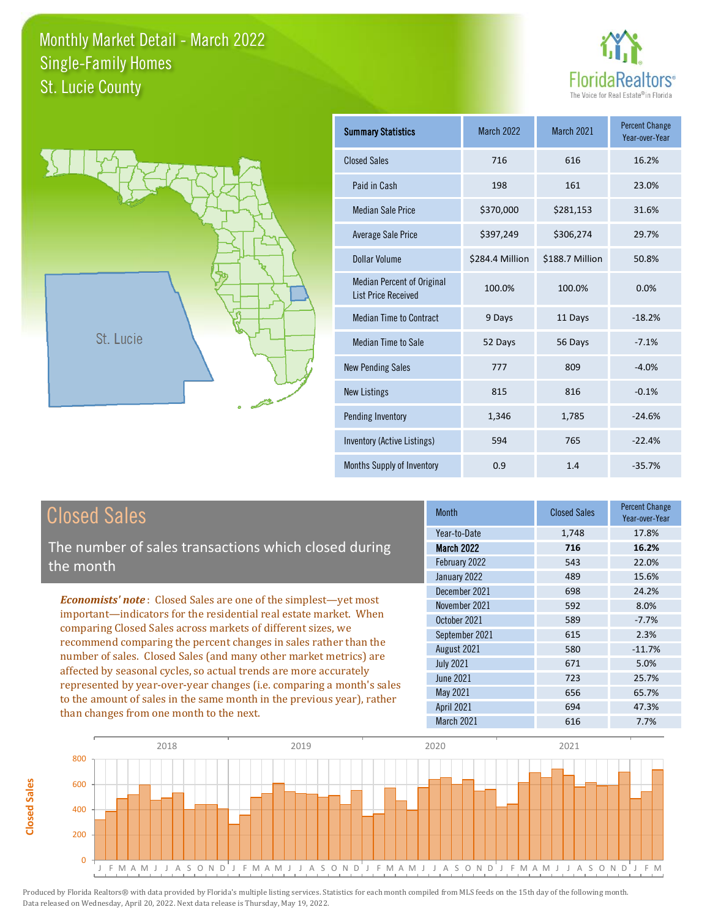



| <b>Summary Statistics</b>                                       | <b>March 2022</b> | March 2021      | <b>Percent Change</b><br>Year-over-Year |
|-----------------------------------------------------------------|-------------------|-----------------|-----------------------------------------|
| <b>Closed Sales</b>                                             | 716               | 616             | 16.2%                                   |
| Paid in Cash                                                    | 198               | 161             | 23.0%                                   |
| <b>Median Sale Price</b>                                        | \$370,000         | \$281,153       | 31.6%                                   |
| <b>Average Sale Price</b>                                       | \$397,249         | \$306,274       | 29.7%                                   |
| <b>Dollar Volume</b>                                            | \$284.4 Million   | \$188.7 Million | 50.8%                                   |
| <b>Median Percent of Original</b><br><b>List Price Received</b> | 100.0%            | 100.0%          | 0.0%                                    |
| <b>Median Time to Contract</b>                                  | 9 Days            | 11 Days         | $-18.2%$                                |
| <b>Median Time to Sale</b>                                      | 52 Days           | 56 Days         | $-7.1%$                                 |
| <b>New Pending Sales</b>                                        | 777               | 809             | $-4.0%$                                 |
| New Listings                                                    | 815               | 816             | $-0.1%$                                 |
| Pending Inventory                                               | 1,346             | 1,785           | $-24.6%$                                |
| Inventory (Active Listings)                                     | 594               | 765             | $-22.4%$                                |
| <b>Months Supply of Inventory</b>                               | 0.9               | 1.4             | $-35.7%$                                |

# Closed Sales

**Closed Sales**

**Closed Sales** 

The number of sales transactions which closed during the month

*Economists' note* : Closed Sales are one of the simplest—yet most important—indicators for the residential real estate market. When comparing Closed Sales across markets of different sizes, we recommend comparing the percent changes in sales rather than the number of sales. Closed Sales (and many other market metrics) are affected by seasonal cycles, so actual trends are more accurately represented by year-over-year changes (i.e. comparing a month's sales to the amount of sales in the same month in the previous year), rather than changes from one month to the next.

| <b>Closed Sales</b> | <b>Percent Change</b><br>Year-over-Year |
|---------------------|-----------------------------------------|
| 1,748               | 17.8%                                   |
| 716                 | 16.2%                                   |
| 543                 | 22.0%                                   |
| 489                 | 15.6%                                   |
| 698                 | 24.2%                                   |
| 592                 | 8.0%                                    |
| 589                 | $-7.7%$                                 |
| 615                 | 2.3%                                    |
| 580                 | $-11.7%$                                |
| 671                 | 5.0%                                    |
| 723                 | 25.7%                                   |
| 656                 | 65.7%                                   |
| 694                 | 47.3%                                   |
| 616                 | 7.7%                                    |
|                     |                                         |

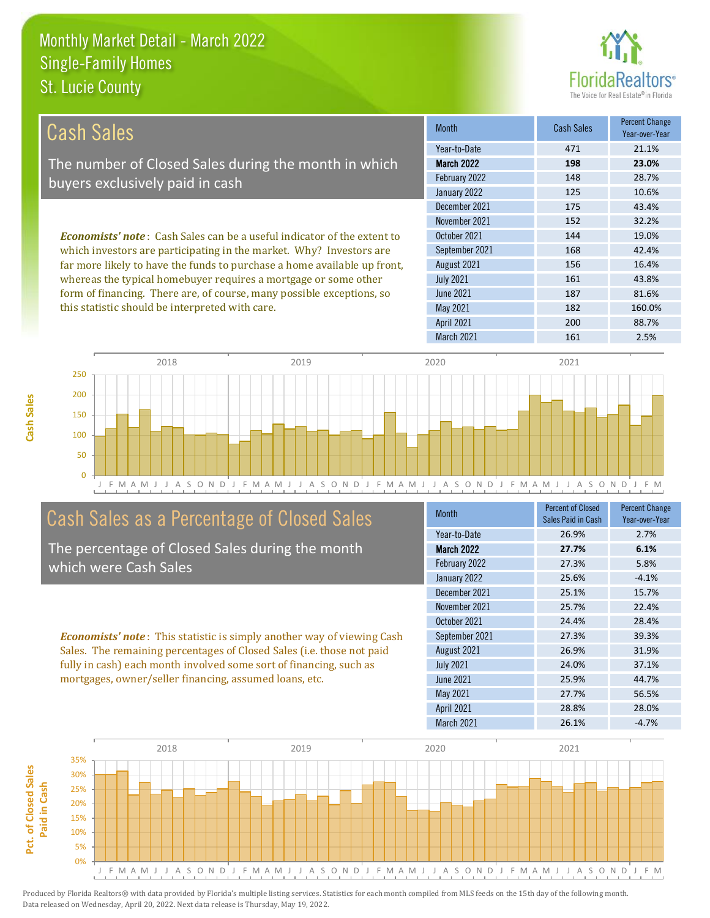

| Cash Sales                                                                     | <b>Month</b>      | <b>Cash Sales</b> | <b>Percent Change</b><br>Year-over-Year |
|--------------------------------------------------------------------------------|-------------------|-------------------|-----------------------------------------|
|                                                                                | Year-to-Date      | 471               | 21.1%                                   |
| The number of Closed Sales during the month in which                           | <b>March 2022</b> | 198               | 23.0%                                   |
| buyers exclusively paid in cash                                                | February 2022     | 148               | 28.7%                                   |
|                                                                                | January 2022      | 125               | 10.6%                                   |
|                                                                                | December 2021     | 175               | 43.4%                                   |
|                                                                                | November 2021     | 152               | 32.2%                                   |
| <b>Economists' note:</b> Cash Sales can be a useful indicator of the extent to | October 2021      | 144               | 19.0%                                   |
| which investors are participating in the market. Why? Investors are            | September 2021    | 168               | 42.4%                                   |
| far more likely to have the funds to purchase a home available up front,       | August 2021       | 156               | 16.4%                                   |
| whereas the typical homebuyer requires a mortgage or some other                | <b>July 2021</b>  | 161               | 43.8%                                   |
| form of financing. There are, of course, many possible exceptions, so          | June 2021         | 187               | 81.6%                                   |
| this statistic should be interpreted with care.                                | May 2021          | 182               | 160.0%                                  |
|                                                                                | <b>April 2021</b> | 200               | 88.7%                                   |



### Cash Sales as a Percentage of Closed Sales

The percentage of Closed Sales during the month which were Cash Sales

*Economists' note* : This statistic is simply another way of viewing Cash Sales. The remaining percentages of Closed Sales (i.e. those not paid fully in cash) each month involved some sort of financing, such as mortgages, owner/seller financing, assumed loans, etc.

| <b>Month</b>      | Percent of Closed<br>Sales Paid in Cash | <b>Percent Change</b><br>Year-over-Year |
|-------------------|-----------------------------------------|-----------------------------------------|
| Year-to-Date      | 26.9%                                   | 2.7%                                    |
| <b>March 2022</b> | 27.7%                                   | 6.1%                                    |
| February 2022     | 27.3%                                   | 5.8%                                    |
| January 2022      | 25.6%                                   | $-4.1%$                                 |
| December 2021     | 25.1%                                   | 15.7%                                   |
| November 2021     | 25.7%                                   | 22.4%                                   |
| October 2021      | 24.4%                                   | 28.4%                                   |
| September 2021    | 27.3%                                   | 39.3%                                   |
| August 2021       | 26.9%                                   | 31.9%                                   |
| <b>July 2021</b>  | 24.0%                                   | 37.1%                                   |
| June 2021         | 25.9%                                   | 44.7%                                   |
| <b>May 2021</b>   | 27.7%                                   | 56.5%                                   |
| <b>April 2021</b> | 28.8%                                   | 28.0%                                   |
| March 2021        | 26.1%                                   | $-4.7%$                                 |

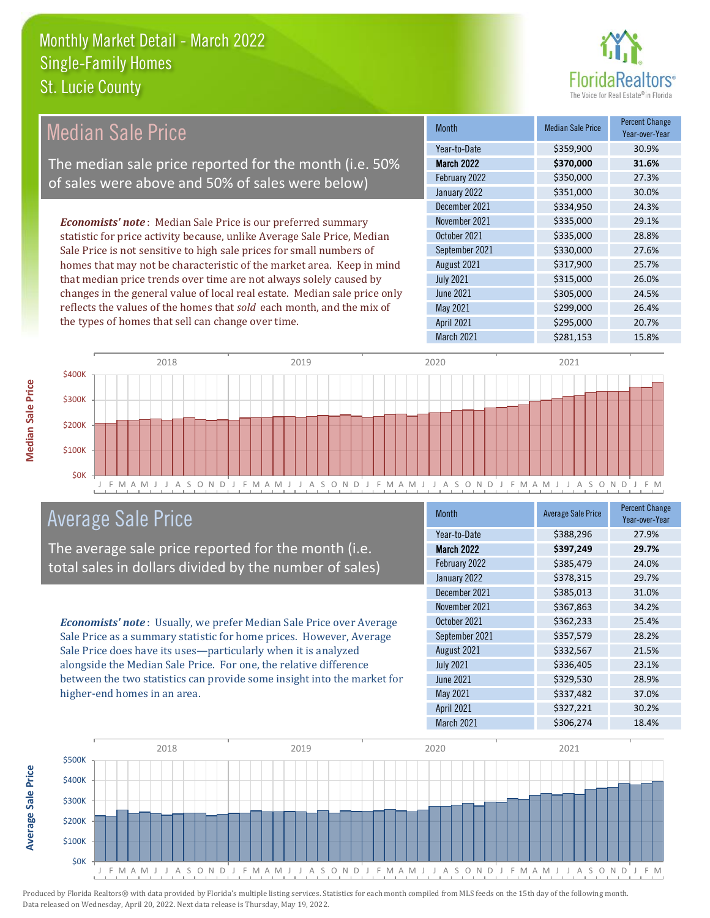

| Median Sale Price                                                         | Month             | <b>Median Sale Price</b> | <b>Percent Change</b><br>Year-over-Year |
|---------------------------------------------------------------------------|-------------------|--------------------------|-----------------------------------------|
|                                                                           | Year-to-Date      | \$359,900                | 30.9%                                   |
| The median sale price reported for the month (i.e. 50%                    | <b>March 2022</b> | \$370,000                | 31.6%                                   |
| of sales were above and 50% of sales were below)                          | February 2022     | \$350,000                | 27.3%                                   |
|                                                                           | January 2022      | \$351,000                | 30.0%                                   |
|                                                                           | December 2021     | \$334,950                | 24.3%                                   |
| <b>Economists' note:</b> Median Sale Price is our preferred summary       | November 2021     | \$335,000                | 29.1%                                   |
| statistic for price activity because, unlike Average Sale Price, Median   | October 2021      | \$335,000                | 28.8%                                   |
| Sale Price is not sensitive to high sale prices for small numbers of      | September 2021    | \$330,000                | 27.6%                                   |
| homes that may not be characteristic of the market area. Keep in mind     | August 2021       | \$317,900                | 25.7%                                   |
| that median price trends over time are not always solely caused by        | <b>July 2021</b>  | \$315,000                | 26.0%                                   |
| changes in the general value of local real estate. Median sale price only | June 2021         | \$305,000                | 24.5%                                   |
| reflects the values of the homes that sold each month, and the mix of     | May 2021          | \$299,000                | 26.4%                                   |
| the types of homes that sell can change over time.                        | <b>April 2021</b> | \$295,000                | 20.7%                                   |
|                                                                           | March 2021        | \$281,153                | 15.8%                                   |



## Average Sale Price

The average sale price reported for the month (i.e. total sales in dollars divided by the number of sales)

*Economists' note* : Usually, we prefer Median Sale Price over Average Sale Price as a summary statistic for home prices. However, Average Sale Price does have its uses—particularly when it is analyzed alongside the Median Sale Price. For one, the relative difference between the two statistics can provide some insight into the market for higher-end homes in an area.

| <b>Month</b>      | <b>Average Sale Price</b> | <b>Percent Change</b><br>Year-over-Year |
|-------------------|---------------------------|-----------------------------------------|
| Year-to-Date      | \$388,296                 | 27.9%                                   |
| March 2022        | \$397,249                 | 29.7%                                   |
| February 2022     | \$385,479                 | 24.0%                                   |
| January 2022      | \$378,315                 | 29.7%                                   |
| December 2021     | \$385,013                 | 31.0%                                   |
| November 2021     | \$367,863                 | 34.2%                                   |
| October 2021      | \$362,233                 | 25.4%                                   |
| September 2021    | \$357,579                 | 28.2%                                   |
| August 2021       | \$332,567                 | 21.5%                                   |
| <b>July 2021</b>  | \$336,405                 | 23.1%                                   |
| June 2021         | \$329,530                 | 28.9%                                   |
| May 2021          | \$337,482                 | 37.0%                                   |
| <b>April 2021</b> | \$327,221                 | 30.2%                                   |
| March 2021        | \$306,274                 | 18.4%                                   |



Produced by Florida Realtors® with data provided by Florida's multiple listing services. Statistics for each month compiled from MLS feeds on the 15th day of the following month. Data released on Wednesday, April 20, 2022. Next data release is Thursday, May 19, 2022.

**Average Sale Price**

Average Sale Price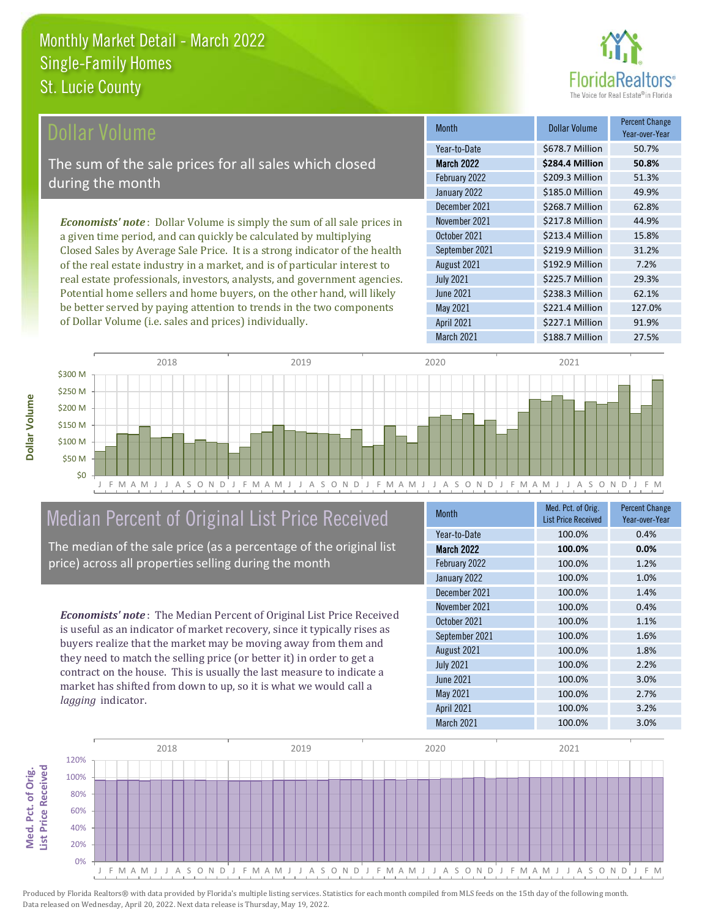

| Dollar Volume                                                                   | <b>Month</b>      | <b>Dollar Volume</b> | <b>Percent Change</b><br>Year-over-Year |
|---------------------------------------------------------------------------------|-------------------|----------------------|-----------------------------------------|
|                                                                                 | Year-to-Date      | \$678.7 Million      | 50.7%                                   |
| The sum of the sale prices for all sales which closed                           | <b>March 2022</b> | \$284.4 Million      | 50.8%                                   |
| during the month                                                                | February 2022     | \$209.3 Million      | 51.3%                                   |
|                                                                                 | January 2022      | \$185.0 Million      | 49.9%                                   |
|                                                                                 | December 2021     | \$268.7 Million      | 62.8%                                   |
| <b>Economists' note</b> : Dollar Volume is simply the sum of all sale prices in | November 2021     | \$217.8 Million      | 44.9%                                   |
| a given time period, and can quickly be calculated by multiplying               | October 2021      | \$213.4 Million      | 15.8%                                   |
| Closed Sales by Average Sale Price. It is a strong indicator of the health      | September 2021    | \$219.9 Million      | 31.2%                                   |
| of the real estate industry in a market, and is of particular interest to       | August 2021       | \$192.9 Million      | 7.2%                                    |
| real estate professionals, investors, analysts, and government agencies.        | <b>July 2021</b>  | \$225.7 Million      | 29.3%                                   |
| Potential home sellers and home buyers, on the other hand, will likely          | <b>June 2021</b>  | \$238.3 Million      | 62.1%                                   |
| be better served by paying attention to trends in the two components            | May 2021          | \$221.4 Million      | 127.0%                                  |



# Median Percent of Original List Price Received

of Dollar Volume (i.e. sales and prices) individually.

The median of the sale price (as a percentage of the original list price) across all properties selling during the month

*Economists' note* : The Median Percent of Original List Price Received is useful as an indicator of market recovery, since it typically rises as buyers realize that the market may be moving away from them and they need to match the selling price (or better it) in order to get a contract on the house. This is usually the last measure to indicate a market has shifted from down to up, so it is what we would call a *lagging* indicator.

| <b>Month</b>      | Med. Pct. of Orig.<br><b>List Price Received</b> | <b>Percent Change</b><br>Year-over-Year |
|-------------------|--------------------------------------------------|-----------------------------------------|
| Year-to-Date      | 100.0%                                           | 0.4%                                    |
| <b>March 2022</b> | 100.0%                                           | 0.0%                                    |
| February 2022     | 100.0%                                           | 1.2%                                    |
| January 2022      | 100.0%                                           | 1.0%                                    |
| December 2021     | 100.0%                                           | 1.4%                                    |
| November 2021     | 100.0%                                           | 0.4%                                    |
| October 2021      | 100.0%                                           | 1.1%                                    |
| September 2021    | 100.0%                                           | 1.6%                                    |
| August 2021       | 100.0%                                           | 1.8%                                    |
| <b>July 2021</b>  | 100.0%                                           | 2.2%                                    |
| <b>June 2021</b>  | 100.0%                                           | 3.0%                                    |
| <b>May 2021</b>   | 100.0%                                           | 2.7%                                    |
| <b>April 2021</b> | 100.0%                                           | 3.2%                                    |
| March 2021        | 100.0%                                           | 3.0%                                    |

March 2021 **\$188.7 Million** 27.5%

April 2021 \$227.1 Million 91.9%

May 2021



**Med. Pct. of Orig.** 

Med. Pct. of Orig.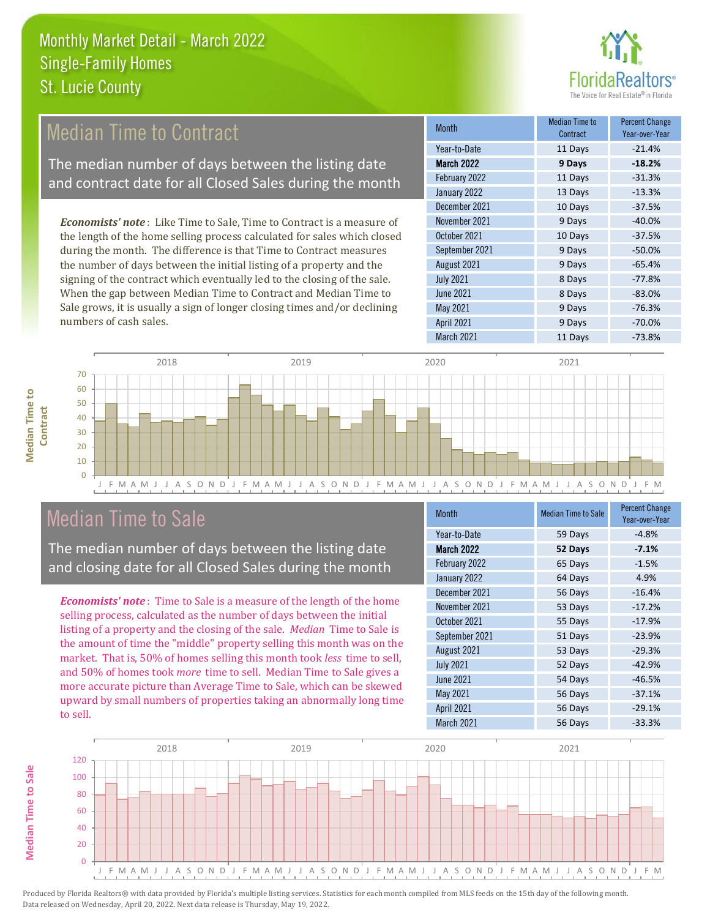

#### 13 Days -13.3% December 2021 **10 Days** -37.5% Median Time to Contract Percent Change Year-over-Year March 2022 **9 Days -18.2%** Year-to-Date 11 Days -21.4% February 2022 **11 Days** -31.3% January 2022 November 2021 9 Days -40.0% October 2021 **10 Days** -37.5% *Economists' note* : Like Time to Sale, Time to Contract is a measure of the length of the home selling process calculated for sales which closed Median Time to Contract The median number of days between the listing date and contract date for all Closed Sales during the month

during the month. The difference is that Time to Contract measures the number of days between the initial listing of a property and the signing of the contract which eventually led to the closing of the sale. When the gap between Median Time to Contract and Median Time to Sale grows, it is usually a sign of longer closing times and/or declining numbers of cash sales.

| IVIUILII          | Contract | Year-over-Year |
|-------------------|----------|----------------|
| Year-to-Date      | 11 Days  | $-21.4%$       |
| <b>March 2022</b> | 9 Days   | $-18.2%$       |
| February 2022     | 11 Days  | $-31.3%$       |
| January 2022      | 13 Days  | $-13.3%$       |
| December 2021     | 10 Days  | $-37.5%$       |
| November 2021     | 9 Days   | $-40.0%$       |
| October 2021      | 10 Days  | $-37.5%$       |
| September 2021    | 9 Days   | $-50.0%$       |
| August 2021       | 9 Days   | $-65.4%$       |
| <b>July 2021</b>  | 8 Days   | $-77.8%$       |
| <b>June 2021</b>  | 8 Days   | $-83.0%$       |
| May 2021          | 9 Days   | $-76.3%$       |
| <b>April 2021</b> | 9 Days   | $-70.0%$       |
| March 2021        | 11 Days  | $-73.8%$       |



# Median Time to Sale

The median number of days between the listing date and closing date for all Closed Sales during the month

*Economists' note* : Time to Sale is a measure of the length of the home selling process, calculated as the number of days between the initial listing of a property and the closing of the sale. *Median* Time to Sale is the amount of time the "middle" property selling this month was on the market. That is, 50% of homes selling this month took *less* time to sell, and 50% of homes took *more* time to sell. Median Time to Sale gives a more accurate picture than Average Time to Sale, which can be skewed upward by small numbers of properties taking an abnormally long time to sell.

| <b>Month</b>      | <b>Median Time to Sale</b> | <b>Percent Change</b><br>Year-over-Year |
|-------------------|----------------------------|-----------------------------------------|
| Year-to-Date      | 59 Days                    | $-4.8%$                                 |
| March 2022        | 52 Days                    | $-7.1%$                                 |
| February 2022     | 65 Days                    | $-1.5%$                                 |
| January 2022      | 64 Days                    | 4.9%                                    |
| December 2021     | 56 Days                    | $-16.4%$                                |
| November 2021     | 53 Days                    | $-17.2%$                                |
| October 2021      | 55 Days                    | $-17.9%$                                |
| September 2021    | 51 Days                    | $-23.9%$                                |
| August 2021       | 53 Days                    | $-29.3%$                                |
| <b>July 2021</b>  | 52 Days                    | $-42.9%$                                |
| <b>June 2021</b>  | 54 Days                    | $-46.5%$                                |
| May 2021          | 56 Days                    | $-37.1%$                                |
| <b>April 2021</b> | 56 Days                    | $-29.1%$                                |
| March 2021        | 56 Days                    | $-33.3%$                                |



**Median Time to** 

**Median Time to**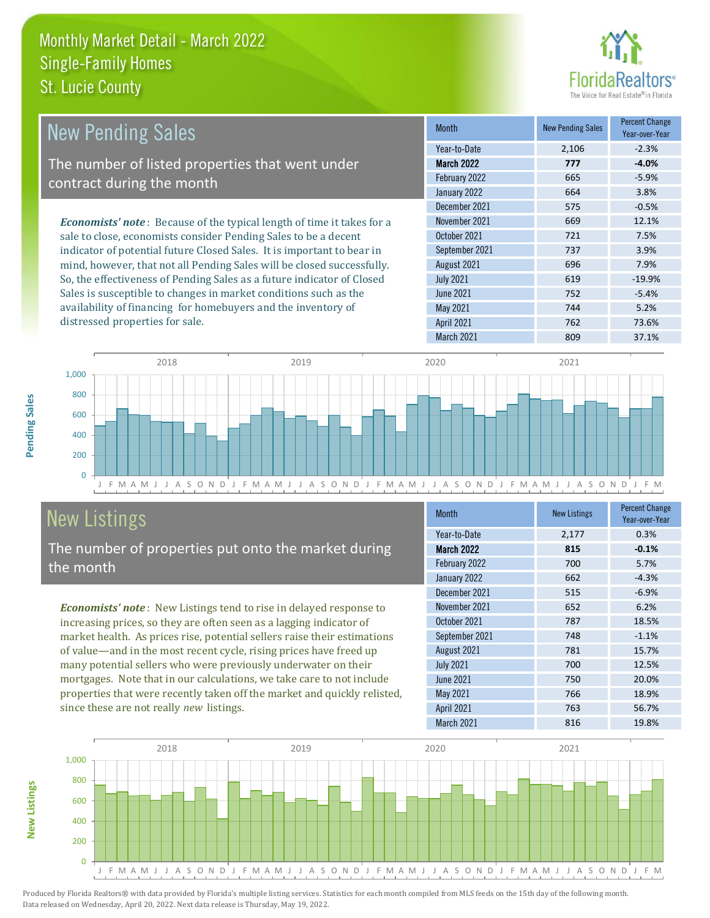

| <b>New Pending Sales</b>                                                      | <b>Month</b>      | <b>New Pending Sales</b> | <b>Percent Change</b><br>Year-over-Year |
|-------------------------------------------------------------------------------|-------------------|--------------------------|-----------------------------------------|
|                                                                               | Year-to-Date      | 2,106                    | $-2.3%$                                 |
| The number of listed properties that went under                               | March 2022        | 777                      | $-4.0%$                                 |
| contract during the month                                                     | February 2022     | 665                      | $-5.9%$                                 |
|                                                                               | January 2022      | 664                      | 3.8%                                    |
|                                                                               | December 2021     | 575                      | $-0.5%$                                 |
| <b>Economists' note:</b> Because of the typical length of time it takes for a | November 2021     | 669                      | 12.1%                                   |
| sale to close, economists consider Pending Sales to be a decent               | October 2021      | 721                      | 7.5%                                    |
| indicator of potential future Closed Sales. It is important to bear in        | September 2021    | 737                      | 3.9%                                    |
| mind, however, that not all Pending Sales will be closed successfully.        | August 2021       | 696                      | 7.9%                                    |
| So, the effectiveness of Pending Sales as a future indicator of Closed        | <b>July 2021</b>  | 619                      | $-19.9%$                                |
| Sales is susceptible to changes in market conditions such as the              | June 2021         | 752                      | $-5.4%$                                 |
| availability of financing for homebuyers and the inventory of                 | May 2021          | 744                      | 5.2%                                    |
| distressed properties for sale.                                               | <b>April 2021</b> | 762                      | 73.6%                                   |



# New Listings

The number of properties put onto the market during the month

*Economists' note* : New Listings tend to rise in delayed response to increasing prices, so they are often seen as a lagging indicator of market health. As prices rise, potential sellers raise their estimations of value—and in the most recent cycle, rising prices have freed up many potential sellers who were previously underwater on their mortgages. Note that in our calculations, we take care to not include properties that were recently taken off the market and quickly relisted, since these are not really *new* listings.

| <b>Month</b>      | <b>New Listings</b> | <b>Percent Change</b><br>Year-over-Year |
|-------------------|---------------------|-----------------------------------------|
| Year-to-Date      | 2,177               | 0.3%                                    |
| <b>March 2022</b> | 815                 | $-0.1%$                                 |
| February 2022     | 700                 | 5.7%                                    |
| January 2022      | 662                 | $-4.3%$                                 |
| December 2021     | 515                 | $-6.9%$                                 |
| November 2021     | 652                 | 6.2%                                    |
| October 2021      | 787                 | 18.5%                                   |
| September 2021    | 748                 | $-1.1%$                                 |
| August 2021       | 781                 | 15.7%                                   |
| <b>July 2021</b>  | 700                 | 12.5%                                   |
| <b>June 2021</b>  | 750                 | 20.0%                                   |
| May 2021          | 766                 | 18.9%                                   |
| <b>April 2021</b> | 763                 | 56.7%                                   |
| March 2021        | 816                 | 19.8%                                   |



Produced by Florida Realtors® with data provided by Florida's multiple listing services. Statistics for each month compiled from MLS feeds on the 15th day of the following month. Data released on Wednesday, April 20, 2022. Next data release is Thursday, May 19, 2022.

**New Listings**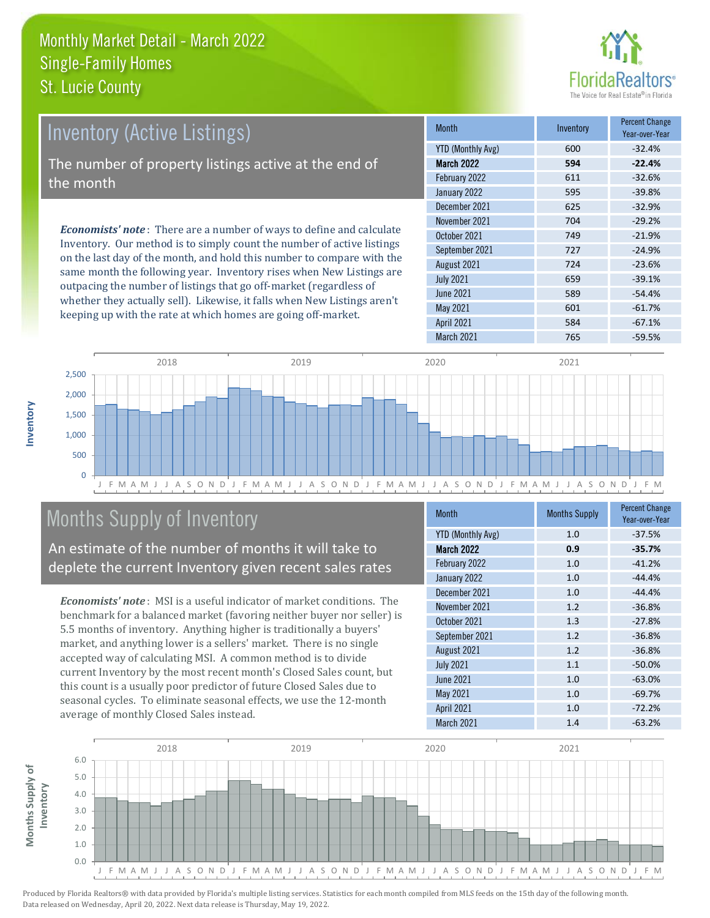

| <b>Inventory (Active Listings)</b>                                                                                                                                                                                              | <b>Month</b>      | Inventory | <b>Percent Change</b><br>Year-over-Year |
|---------------------------------------------------------------------------------------------------------------------------------------------------------------------------------------------------------------------------------|-------------------|-----------|-----------------------------------------|
|                                                                                                                                                                                                                                 | YTD (Monthly Avg) | 600       | $-32.4%$                                |
| The number of property listings active at the end of                                                                                                                                                                            | <b>March 2022</b> | 594       | $-22.4%$                                |
| the month                                                                                                                                                                                                                       | February 2022     | 611       | $-32.6%$                                |
|                                                                                                                                                                                                                                 | January 2022      | 595       | $-39.8%$                                |
|                                                                                                                                                                                                                                 | December 2021     | 625       | $-32.9%$                                |
| <b>Economists' note:</b> There are a number of ways to define and calculate<br>Inventory. Our method is to simply count the number of active listings<br>on the last day of the month, and hold this number to compare with the | November 2021     | 704       | $-29.2%$                                |
|                                                                                                                                                                                                                                 | October 2021      | 749       | $-21.9%$                                |
|                                                                                                                                                                                                                                 | September 2021    | 727       | $-24.9%$                                |
|                                                                                                                                                                                                                                 | 1.2.21001         | 721       | 2200                                    |

same month the following year. Inventory rises when New Listings are outpacing the number of listings that go off-market (regardless of whether they actually sell). Likewise, it falls when New Listings aren't keeping up with the rate at which homes are going off-market.

|                          |     | Year-over-Year |
|--------------------------|-----|----------------|
| <b>YTD (Monthly Avg)</b> | 600 | $-32.4%$       |
| <b>March 2022</b>        | 594 | $-22.4%$       |
| February 2022            | 611 | $-32.6%$       |
| January 2022             | 595 | $-39.8%$       |
| December 2021            | 625 | $-32.9%$       |
| November 2021            | 704 | $-29.2%$       |
| October 2021             | 749 | $-21.9%$       |
| September 2021           | 727 | $-24.9%$       |
| August 2021              | 724 | $-23.6%$       |
| <b>July 2021</b>         | 659 | $-39.1%$       |
| <b>June 2021</b>         | 589 | $-54.4%$       |
| May 2021                 | 601 | $-61.7%$       |
| <b>April 2021</b>        | 584 | $-67.1%$       |
| March 2021               | 765 | $-59.5%$       |



# Months Supply of Inventory

An estimate of the number of months it will take to deplete the current Inventory given recent sales rates

*Economists' note* : MSI is a useful indicator of market conditions. The benchmark for a balanced market (favoring neither buyer nor seller) is 5.5 months of inventory. Anything higher is traditionally a buyers' market, and anything lower is a sellers' market. There is no single accepted way of calculating MSI. A common method is to divide current Inventory by the most recent month's Closed Sales count, but this count is a usually poor predictor of future Closed Sales due to seasonal cycles. To eliminate seasonal effects, we use the 12-month average of monthly Closed Sales instead.

| Month                    | <b>Months Supply</b> | <b>Percent Change</b><br>Year-over-Year |
|--------------------------|----------------------|-----------------------------------------|
| <b>YTD (Monthly Avg)</b> | 1.0                  | $-37.5%$                                |
| March 2022               | 0.9                  | $-35.7%$                                |
| February 2022            | 1.0                  | $-41.2%$                                |
| January 2022             | 1.0                  | $-44.4%$                                |
| December 2021            | 1.0                  | $-44.4%$                                |
| November 2021            | 1.2                  | $-36.8%$                                |
| October 2021             | 1.3                  | $-27.8%$                                |
| September 2021           | 1.2                  | $-36.8%$                                |
| August 2021              | 1.2                  | $-36.8%$                                |
| <b>July 2021</b>         | 1.1                  | $-50.0%$                                |
| <b>June 2021</b>         | 1.0                  | $-63.0%$                                |
| <b>May 2021</b>          | 1.0                  | $-69.7%$                                |
| <b>April 2021</b>        | 1.0                  | $-72.2%$                                |
| March 2021               | 1.4                  | $-63.2%$                                |



Produced by Florida Realtors® with data provided by Florida's multiple listing services. Statistics for each month compiled from MLS feeds on the 15th day of the following month. Data released on Wednesday, April 20, 2022. Next data release is Thursday, May 19, 2022.

**Months Supply of** 

Months Supply of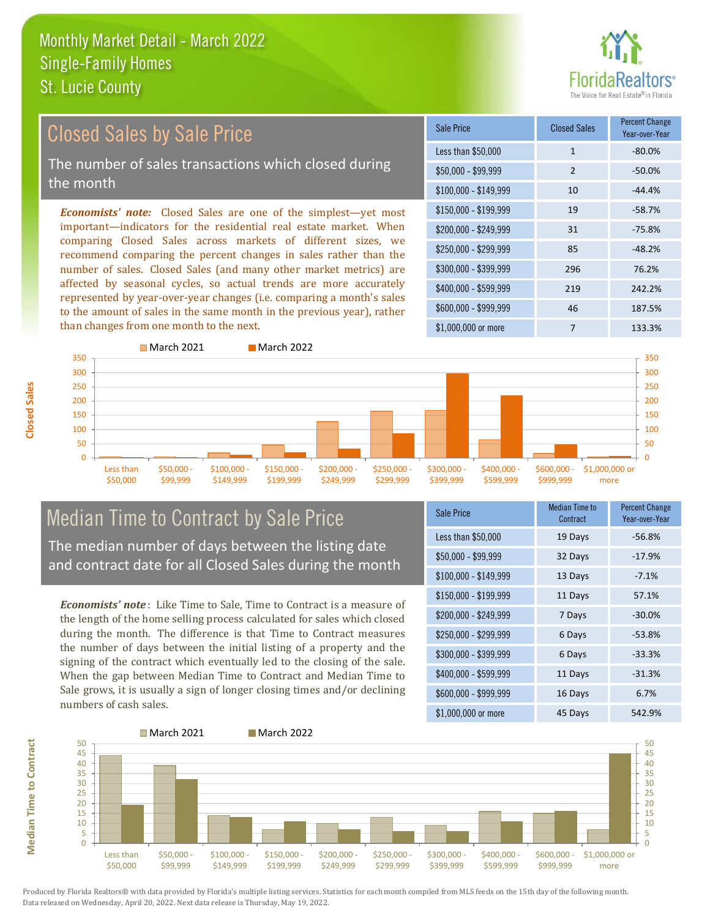

# Closed Sales by Sale Price

The number of sales transactions which closed during the month

*Economists' note:* Closed Sales are one of the simplest—yet most important—indicators for the residential real estate market. When comparing Closed Sales across markets of different sizes, we recommend comparing the percent changes in sales rather than the number of sales. Closed Sales (and many other market metrics) are affected by seasonal cycles, so actual trends are more accurately represented by year-over-year changes (i.e. comparing a month's sales to the amount of sales in the same month in the previous year), rather than changes from one month to the next.

| Sale Price            | <b>Closed Sales</b> | <b>Percent Change</b><br>Year-over-Year |
|-----------------------|---------------------|-----------------------------------------|
| Less than \$50,000    | $\mathbf{1}$        | $-80.0\%$                               |
| $$50,000 - $99,999$   | $\overline{2}$      | $-50.0\%$                               |
| $$100,000 - $149,999$ | 10                  | $-44.4%$                                |
| $$150,000 - $199,999$ | 19                  | $-58.7%$                                |
| $$200,000 - $249,999$ | 31                  | $-75.8%$                                |
| \$250,000 - \$299,999 | 85                  | $-48.2%$                                |
| \$300,000 - \$399,999 | 296                 | 76.2%                                   |
| \$400,000 - \$599,999 | 219                 | 242.2%                                  |
| \$600,000 - \$999,999 | 46                  | 187.5%                                  |
| $$1,000,000$ or more  | 7                   | 133.3%                                  |



# Median Time to Contract by Sale Price

The median number of days between the listing date and contract date for all Closed Sales during the month

*Economists' note* : Like Time to Sale, Time to Contract is a measure of the length of the home selling process calculated for sales which closed during the month. The difference is that Time to Contract measures the number of days between the initial listing of a property and the signing of the contract which eventually led to the closing of the sale. When the gap between Median Time to Contract and Median Time to Sale grows, it is usually a sign of longer closing times and/or declining numbers of cash sales.

| Sale Price            | <b>Median Time to</b><br>Contract | <b>Percent Change</b><br>Year-over-Year |
|-----------------------|-----------------------------------|-----------------------------------------|
| Less than \$50,000    | 19 Days                           | $-56.8%$                                |
| \$50,000 - \$99,999   | 32 Days                           | $-17.9%$                                |
| $$100,000 - $149,999$ | 13 Days                           | $-7.1%$                                 |
| \$150,000 - \$199,999 | 11 Days                           | 57.1%                                   |
| \$200,000 - \$249,999 | 7 Days                            | $-30.0%$                                |
| \$250,000 - \$299,999 | 6 Days                            | $-53.8%$                                |
| \$300,000 - \$399,999 | 6 Days                            | $-33.3%$                                |
| \$400,000 - \$599,999 | 11 Days                           | $-31.3%$                                |
| \$600,000 - \$999,999 | 16 Days                           | 6.7%                                    |
| $$1,000,000$ or more  | 45 Days                           | 542.9%                                  |



Produced by Florida Realtors® with data provided by Florida's multiple listing services. Statistics for each month compiled from MLS feeds on the 15th day of the following month. Data released on Wednesday, April 20, 2022. Next data release is Thursday, May 19, 2022.

**Median Time to Contract**

**Median Time to Contract**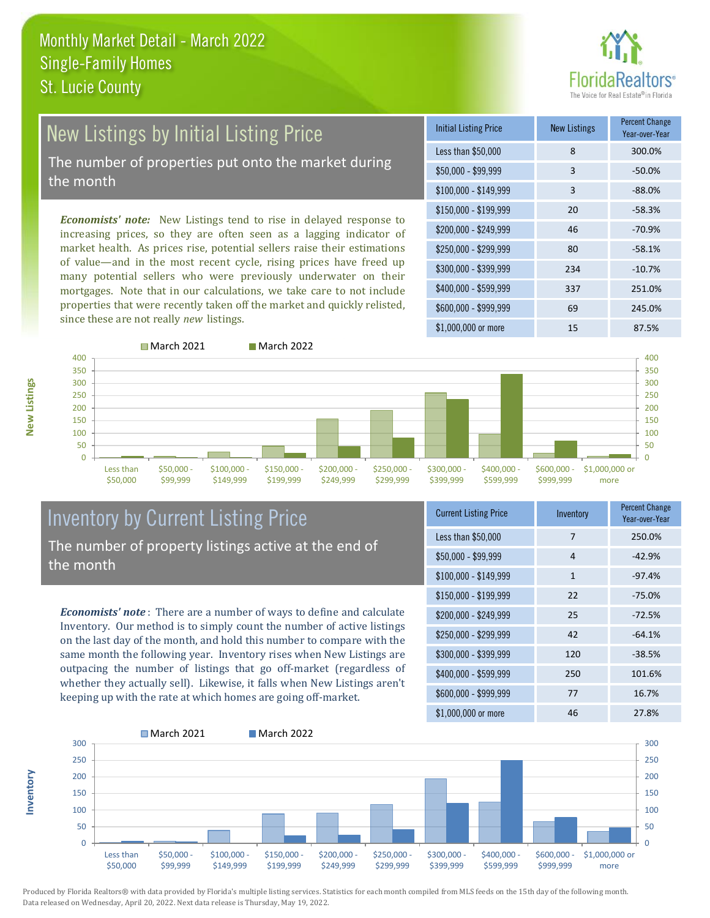

# New Listings by Initial Listing Price

The number of properties put onto the market during the month

*Economists' note:* New Listings tend to rise in delayed response to increasing prices, so they are often seen as a lagging indicator of market health. As prices rise, potential sellers raise their estimations of value—and in the most recent cycle, rising prices have freed up many potential sellers who were previously underwater on their mortgages. Note that in our calculations, we take care to not include properties that were recently taken off the market and quickly relisted, since these are not really *new* listings.

| <b>Initial Listing Price</b> | <b>New Listings</b> | <b>Percent Change</b><br>Year-over-Year |
|------------------------------|---------------------|-----------------------------------------|
| Less than \$50,000           | 8                   | 300.0%                                  |
| $$50,000 - $99,999$          | 3                   | $-50.0%$                                |
| $$100,000 - $149,999$        | 3                   | $-88.0%$                                |
| $$150,000 - $199,999$        | 20                  | $-58.3%$                                |
| \$200,000 - \$249,999        | 46                  | $-70.9%$                                |
| \$250,000 - \$299,999        | 80                  | $-58.1%$                                |
| \$300,000 - \$399,999        | 234                 | $-10.7%$                                |
| \$400,000 - \$599,999        | 337                 | 251.0%                                  |
| \$600,000 - \$999,999        | 69                  | 245.0%                                  |
| \$1,000,000 or more          | 15                  | 87.5%                                   |



**Inventory**



#### Inventory by Current Listing Price The number of property listings active at the end of the month

*Economists' note* : There are a number of ways to define and calculate Inventory. Our method is to simply count the number of active listings on the last day of the month, and hold this number to compare with the same month the following year. Inventory rises when New Listings are outpacing the number of listings that go off-market (regardless of whether they actually sell). Likewise, it falls when New Listings aren't keeping up with the rate at which homes are going off-market.

| <b>Current Listing Price</b> | Inventory | <b>Percent Change</b><br>Year-over-Year |
|------------------------------|-----------|-----------------------------------------|
| Less than \$50,000           | 7         | 250.0%                                  |
| \$50,000 - \$99,999          | 4         | $-42.9%$                                |
| $$100,000 - $149,999$        | 1         | $-97.4%$                                |
| $$150,000 - $199,999$        | 22        | $-75.0%$                                |
| \$200,000 - \$249,999        | 25        | $-72.5%$                                |
| \$250,000 - \$299,999        | 42        | $-64.1%$                                |
| \$300,000 - \$399,999        | 120       | $-38.5%$                                |
| \$400,000 - \$599,999        | 250       | 101.6%                                  |
| \$600,000 - \$999,999        | 77        | 16.7%                                   |
| $$1,000,000$ or more         | 46        | 27.8%                                   |